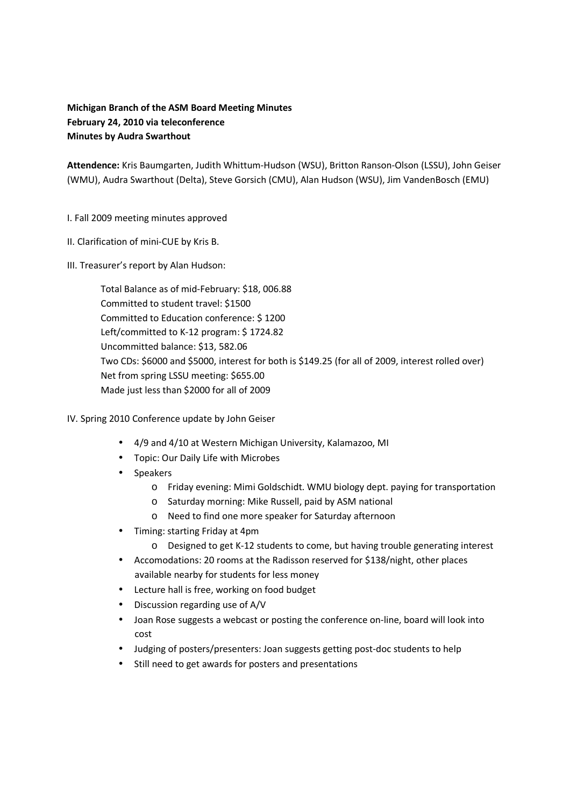## **Michigan Branch of the ASM Board Meeting Minutes February 24, 2010 via teleconference Minutes by Audra Swarthout**

**Attendence:** Kris Baumgarten, Judith Whittum-Hudson (WSU), Britton Ranson-Olson (LSSU), John Geiser (WMU), Audra Swarthout (Delta), Steve Gorsich (CMU), Alan Hudson (WSU), Jim VandenBosch (EMU)

## I. Fall 2009 meeting minutes approved

- II. Clarification of mini-CUE by Kris B.
- III. Treasurer's report by Alan Hudson:

 Total Balance as of mid-February: \$18, 006.88 Committed to student travel: \$1500 Committed to Education conference: \$ 1200 Left/committed to K-12 program: \$ 1724.82 Uncommitted balance: \$13, 582.06 Two CDs: \$6000 and \$5000, interest for both is \$149.25 (for all of 2009, interest rolled over) Net from spring LSSU meeting: \$655.00 Made just less than \$2000 for all of 2009

- IV. Spring 2010 Conference update by John Geiser
	- 4/9 and 4/10 at Western Michigan University, Kalamazoo, MI
	- Topic: Our Daily Life with Microbes
	- Speakers
		- o Friday evening: Mimi Goldschidt. WMU biology dept. paying for transportation
		- o Saturday morning: Mike Russell, paid by ASM national
		- o Need to find one more speaker for Saturday afternoon
	- Timing: starting Friday at 4pm
		- o Designed to get K-12 students to come, but having trouble generating interest
	- Accomodations: 20 rooms at the Radisson reserved for \$138/night, other places available nearby for students for less money
	- Lecture hall is free, working on food budget
	- Discussion regarding use of A/V
	- Joan Rose suggests a webcast or posting the conference on-line, board will look into cost
	- Judging of posters/presenters: Joan suggests getting post-doc students to help
	- Still need to get awards for posters and presentations